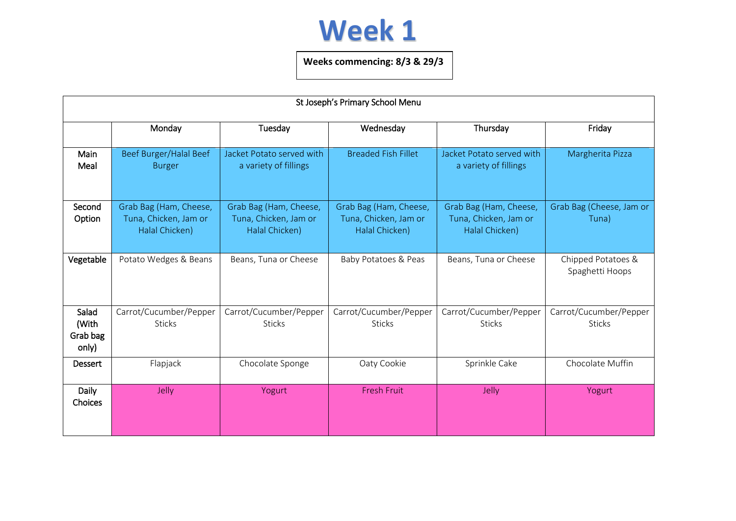## **Week 1**

## **Weeks commencing: 8/3 & 29/3**

| St Joseph's Primary School Menu     |                                                                   |                                                                   |                                                                   |                                                                   |                                         |  |  |  |
|-------------------------------------|-------------------------------------------------------------------|-------------------------------------------------------------------|-------------------------------------------------------------------|-------------------------------------------------------------------|-----------------------------------------|--|--|--|
|                                     | Monday                                                            | Tuesday                                                           | Wednesday                                                         | Thursday                                                          | Friday                                  |  |  |  |
| Main<br>Meal                        | Beef Burger/Halal Beef<br><b>Burger</b>                           | Jacket Potato served with<br>a variety of fillings                | <b>Breaded Fish Fillet</b>                                        | Jacket Potato served with<br>a variety of fillings                | Margherita Pizza                        |  |  |  |
| Second<br>Option                    | Grab Bag (Ham, Cheese,<br>Tuna, Chicken, Jam or<br>Halal Chicken) | Grab Bag (Ham, Cheese,<br>Tuna, Chicken, Jam or<br>Halal Chicken) | Grab Bag (Ham, Cheese,<br>Tuna, Chicken, Jam or<br>Halal Chicken) | Grab Bag (Ham, Cheese,<br>Tuna, Chicken, Jam or<br>Halal Chicken) | Grab Bag (Cheese, Jam or<br>Tuna)       |  |  |  |
| Vegetable                           | Potato Wedges & Beans                                             | Beans, Tuna or Cheese                                             | Baby Potatoes & Peas                                              | Beans, Tuna or Cheese                                             | Chipped Potatoes &<br>Spaghetti Hoops   |  |  |  |
| Salad<br>(With<br>Grab bag<br>only) | Carrot/Cucumber/Pepper<br><b>Sticks</b>                           | Carrot/Cucumber/Pepper<br><b>Sticks</b>                           | Carrot/Cucumber/Pepper<br><b>Sticks</b>                           | Carrot/Cucumber/Pepper<br><b>Sticks</b>                           | Carrot/Cucumber/Pepper<br><b>Sticks</b> |  |  |  |
| Dessert                             | Flapjack                                                          | Chocolate Sponge                                                  | Oaty Cookie                                                       | Sprinkle Cake                                                     | Chocolate Muffin                        |  |  |  |
| <b>Daily</b><br>Choices             | Jelly                                                             | Yogurt                                                            | <b>Fresh Fruit</b>                                                | Jelly                                                             | Yogurt                                  |  |  |  |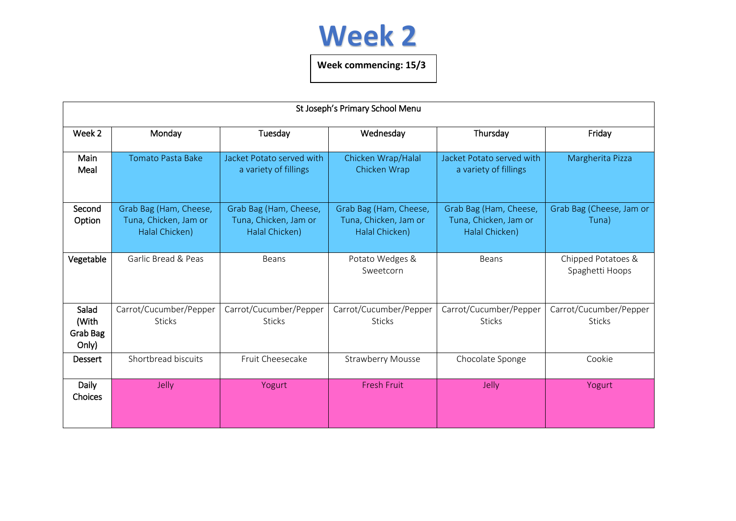

**Week commencing: 15/3**

| St Joseph's Primary School Menu     |                                                                   |                                                                   |                                                                   |                                                                   |                                         |  |  |  |
|-------------------------------------|-------------------------------------------------------------------|-------------------------------------------------------------------|-------------------------------------------------------------------|-------------------------------------------------------------------|-----------------------------------------|--|--|--|
| Week <sub>2</sub>                   | Monday                                                            | Tuesday                                                           | Wednesday                                                         | Thursday                                                          | Friday                                  |  |  |  |
| Main<br>Meal                        | <b>Tomato Pasta Bake</b>                                          | Jacket Potato served with<br>a variety of fillings                | Chicken Wrap/Halal<br>Chicken Wrap                                | Jacket Potato served with<br>a variety of fillings                | Margherita Pizza                        |  |  |  |
| Second<br>Option                    | Grab Bag (Ham, Cheese,<br>Tuna, Chicken, Jam or<br>Halal Chicken) | Grab Bag (Ham, Cheese,<br>Tuna, Chicken, Jam or<br>Halal Chicken) | Grab Bag (Ham, Cheese,<br>Tuna, Chicken, Jam or<br>Halal Chicken) | Grab Bag (Ham, Cheese,<br>Tuna, Chicken, Jam or<br>Halal Chicken) | Grab Bag (Cheese, Jam or<br>Tuna)       |  |  |  |
| Vegetable                           | Garlic Bread & Peas                                               | <b>Beans</b>                                                      | Potato Wedges &<br>Sweetcorn                                      | Beans                                                             | Chipped Potatoes &<br>Spaghetti Hoops   |  |  |  |
| Salad<br>(With<br>Grab Bag<br>Only) | Carrot/Cucumber/Pepper<br><b>Sticks</b>                           | Carrot/Cucumber/Pepper<br><b>Sticks</b>                           | Carrot/Cucumber/Pepper<br><b>Sticks</b>                           | Carrot/Cucumber/Pepper<br><b>Sticks</b>                           | Carrot/Cucumber/Pepper<br><b>Sticks</b> |  |  |  |
| Dessert                             | Shortbread biscuits                                               | Fruit Cheesecake                                                  | <b>Strawberry Mousse</b>                                          | Chocolate Sponge                                                  | Cookie                                  |  |  |  |
| <b>Daily</b><br><b>Choices</b>      | <b>Jelly</b>                                                      | Yogurt                                                            | <b>Fresh Fruit</b>                                                | Jelly                                                             | Yogurt                                  |  |  |  |